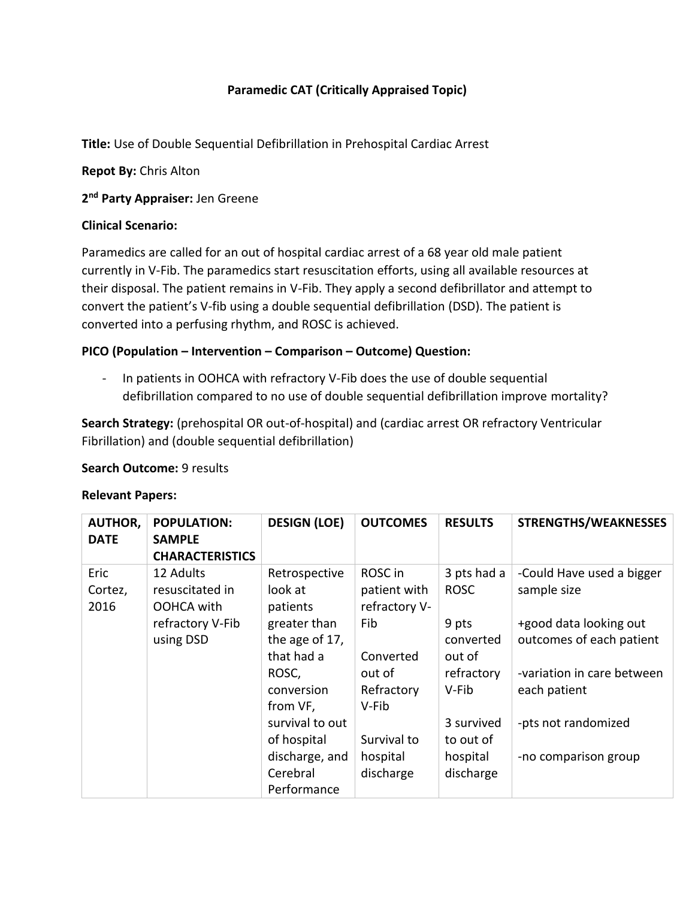# **Paramedic CAT (Critically Appraised Topic)**

**Title:** Use of Double Sequential Defibrillation in Prehospital Cardiac Arrest

**Repot By:** Chris Alton

**2 nd Party Appraiser:** Jen Greene

### **Clinical Scenario:**

Paramedics are called for an out of hospital cardiac arrest of a 68 year old male patient currently in V-Fib. The paramedics start resuscitation efforts, using all available resources at their disposal. The patient remains in V-Fib. They apply a second defibrillator and attempt to convert the patient's V-fib using a double sequential defibrillation (DSD). The patient is converted into a perfusing rhythm, and ROSC is achieved.

### **PICO (Population – Intervention – Comparison – Outcome) Question:**

- In patients in OOHCA with refractory V-Fib does the use of double sequential defibrillation compared to no use of double sequential defibrillation improve mortality?

**Search Strategy:** (prehospital OR out-of-hospital) and (cardiac arrest OR refractory Ventricular Fibrillation) and (double sequential defibrillation)

### **Search Outcome:** 9 results

#### **Relevant Papers:**

| <b>AUTHOR,</b><br><b>DATE</b> | <b>POPULATION:</b><br><b>SAMPLE</b> | <b>DESIGN (LOE)</b> | <b>OUTCOMES</b> | <b>RESULTS</b> | <b>STRENGTHS/WEAKNESSES</b> |
|-------------------------------|-------------------------------------|---------------------|-----------------|----------------|-----------------------------|
|                               | <b>CHARACTERISTICS</b>              |                     |                 |                |                             |
| Eric                          | 12 Adults                           | Retrospective       | ROSC in         | 3 pts had a    | -Could Have used a bigger   |
| Cortez,                       | resuscitated in                     | look at             | patient with    | <b>ROSC</b>    | sample size                 |
| 2016                          | OOHCA with                          | patients            | refractory V-   |                |                             |
|                               | refractory V-Fib                    | greater than        | Fib             | 9 pts          | +good data looking out      |
|                               | using DSD                           | the age of 17,      |                 | converted      | outcomes of each patient    |
|                               |                                     | that had a          | Converted       | out of         |                             |
|                               |                                     | ROSC,               | out of          | refractory     | -variation in care between  |
|                               |                                     | conversion          | Refractory      | V-Fib          | each patient                |
|                               |                                     | from VF,            | V-Fib           |                |                             |
|                               |                                     | survival to out     |                 | 3 survived     | -pts not randomized         |
|                               |                                     | of hospital         | Survival to     | to out of      |                             |
|                               |                                     | discharge, and      | hospital        | hospital       | -no comparison group        |
|                               |                                     | Cerebral            | discharge       | discharge      |                             |
|                               |                                     | Performance         |                 |                |                             |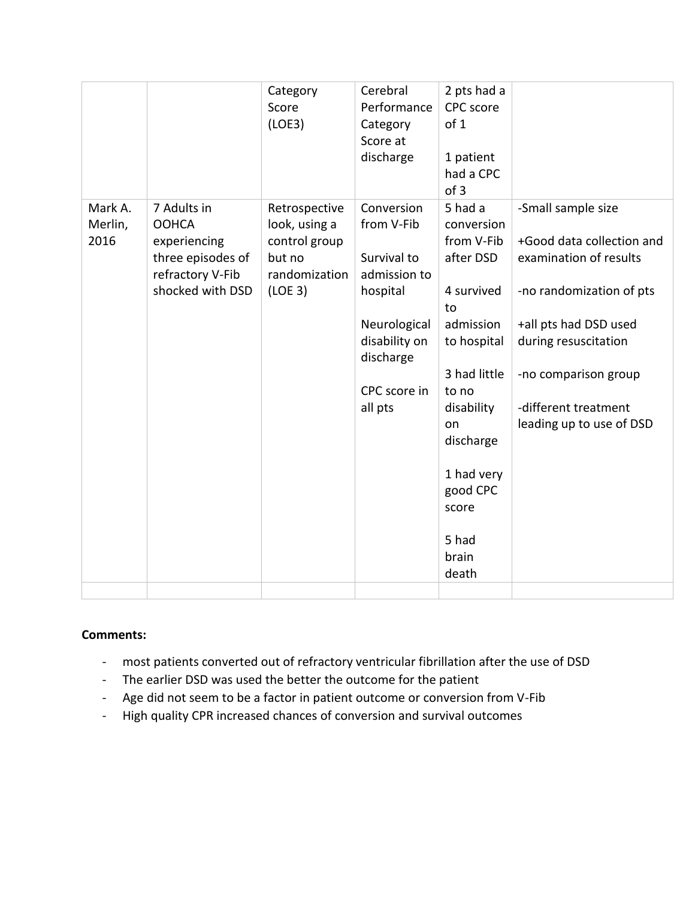|                            |                                                                  | Category<br>Score<br>(LOE3)                               | Cerebral<br>Performance<br>Category<br>Score at<br>discharge | 2 pts had a<br>CPC score<br>of 1<br>1 patient<br>had a CPC<br>of 3 |                                                                           |
|----------------------------|------------------------------------------------------------------|-----------------------------------------------------------|--------------------------------------------------------------|--------------------------------------------------------------------|---------------------------------------------------------------------------|
| Mark A.<br>Merlin,<br>2016 | 7 Adults in<br><b>OOHCA</b><br>experiencing<br>three episodes of | Retrospective<br>look, using a<br>control group<br>but no | Conversion<br>from V-Fib<br>Survival to                      | 5 had a<br>conversion<br>from V-Fib<br>after DSD                   | -Small sample size<br>+Good data collection and<br>examination of results |
|                            | refractory V-Fib<br>shocked with DSD                             | randomization<br>(LOE <sub>3</sub> )                      | admission to<br>hospital                                     | 4 survived<br>to                                                   | -no randomization of pts                                                  |
|                            |                                                                  |                                                           | Neurological<br>disability on<br>discharge                   | admission<br>to hospital                                           | +all pts had DSD used<br>during resuscitation                             |
|                            |                                                                  |                                                           | CPC score in                                                 | 3 had little<br>to no                                              | -no comparison group                                                      |
|                            |                                                                  |                                                           | all pts                                                      | disability<br>on<br>discharge                                      | -different treatment<br>leading up to use of DSD                          |
|                            |                                                                  |                                                           |                                                              | 1 had very<br>good CPC<br>score                                    |                                                                           |
|                            |                                                                  |                                                           |                                                              | 5 had<br>brain<br>death                                            |                                                                           |
|                            |                                                                  |                                                           |                                                              |                                                                    |                                                                           |

## **Comments:**

- most patients converted out of refractory ventricular fibrillation after the use of DSD
- The earlier DSD was used the better the outcome for the patient
- Age did not seem to be a factor in patient outcome or conversion from V-Fib
- High quality CPR increased chances of conversion and survival outcomes